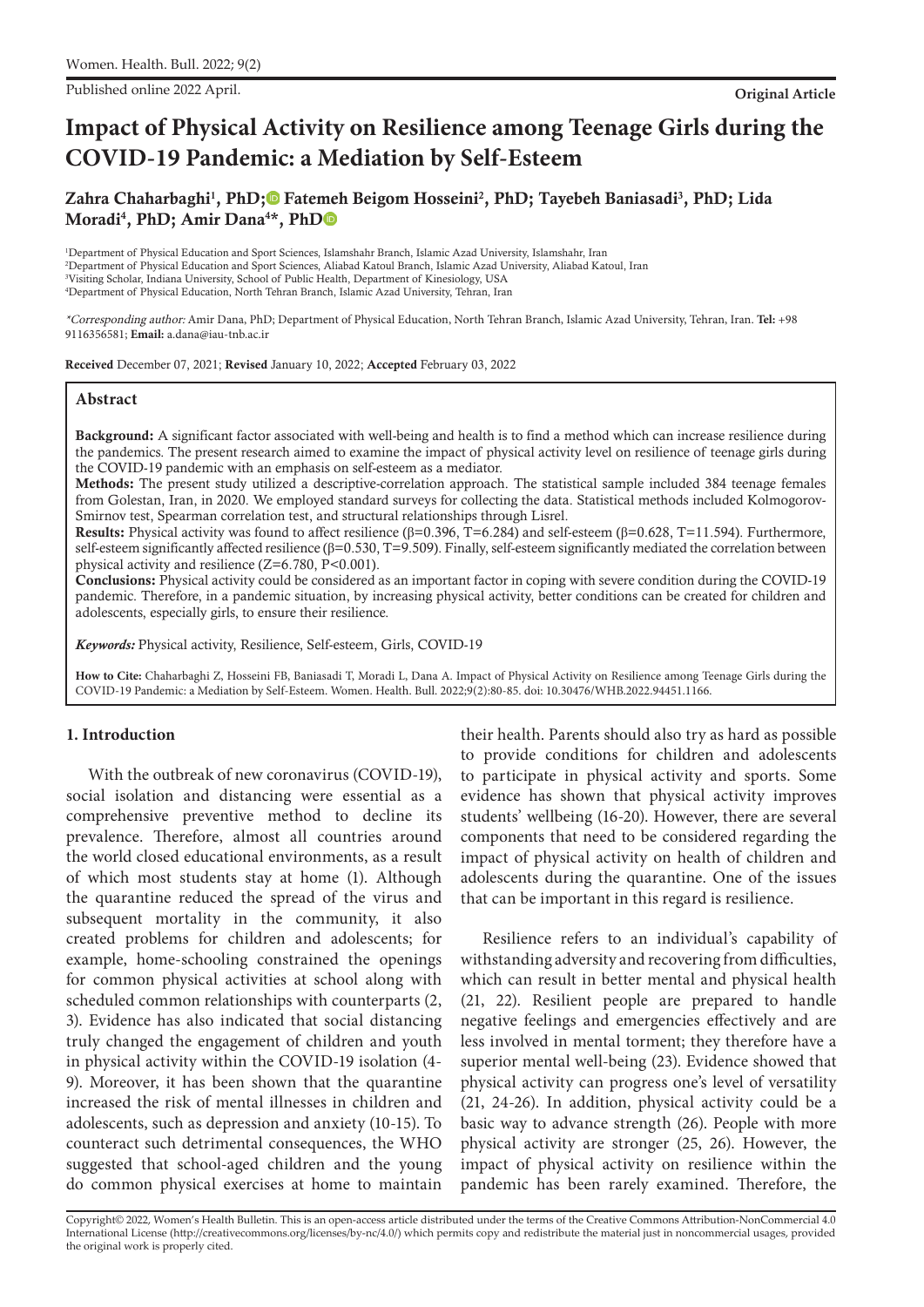Published online 2022 April. **Original Article**

# **Impact of Physical Activity on Resilience among Teenage Girls during the COVID-19 Pandemic: a Mediation by Self-Esteem**

Zahra Chaharbaghi<sup>1</sup>, PhD;<sup>®</sup> Fatemeh Beigom Hosseini<sup>2</sup>, PhD[;](https://orcid.org/0000-0003-4767-1357) Tayebeh Baniasadi<sup>3</sup>, PhD; Lida Moradi<sup>4</sup>, Ph[D](https://orcid.org/0000-0002-3482-7052); Amir Dana<sup>4\*</sup>, PhD

 Department of Physical Education and Sport Sciences, Islamshahr Branch, Islamic Azad University, Islamshahr, Iran Department of Physical Education and Sport Sciences, Aliabad Katoul Branch, Islamic Azad University, Aliabad Katoul, Iran Visiting Scholar, Indiana University, School of Public Health, Department of Kinesiology, USA Department of Physical Education, North Tehran Branch, Islamic Azad University, Tehran, Iran

\*Corresponding author: Amir Dana, PhD; Department of Physical Education, North Tehran Branch, Islamic Azad University, Tehran, Iran. **Tel:** +98 9116356581; **Email:** a.dana@iau-tnb.ac.ir

Received December 07, 2021; Revised January 10, 2022; Accepted February 03, 2022

#### **Abstract**

Background: A significant factor associated with well-being and health is to find a method which can increase resilience during the pandemics. The present research aimed to examine the impact of physical activity level on resilience of teenage girls during the COVID-19 pandemic with an emphasis on self-esteem as a mediator.

Methods: The present study utilized a descriptive-correlation approach. The statistical sample included 384 teenage females from Golestan, Iran, in 2020. We employed standard surveys for collecting the data. Statistical methods included Kolmogorov-Smirnov test, Spearman correlation test, and structural relationships through Lisrel.

Results: Physical activity was found to affect resilience (β=0.396, T=6.284) and self-esteem (β=0.628, T=11.594). Furthermore, self-esteem significantly affected resilience (β=0.530, T=9.509). Finally, self-esteem significantly mediated the correlation between physical activity and resilience (Z=6.780, P<0.001).

Conclusions: Physical activity could be considered as an important factor in coping with severe condition during the COVID-19 pandemic. Therefore, in a pandemic situation, by increasing physical activity, better conditions can be created for children and adolescents, especially girls, to ensure their resilience.

*Keywords:* Physical activity, Resilience, Self-esteem, Girls, COVID-19

**How to Cite:** Chaharbaghi Z, Hosseini FB, Baniasadi T, Moradi L, Dana A. Impact of Physical Activity on Resilience among Teenage Girls during the COVID-19 Pandemic: a Mediation by Self-Esteem. Women. Health. Bull. 2022;9(2):80-85. doi: 10.30476/WHB.2022.94451.1166.

#### **1. Introduction**

With the outbreak of new coronavirus (COVID-19), social isolation and distancing were essential as a comprehensive preventive method to decline its prevalence. Therefore, almost all countries around the world closed educational environments, as a result of which most students stay at home (1). Although the quarantine reduced the spread of the virus and subsequent mortality in the community, it also created problems for children and adolescents; for example, home-schooling constrained the openings for common physical activities at school along with scheduled common relationships with counterparts (2, 3). Evidence has also indicated that social distancing truly changed the engagement of children and youth in physical activity within the COVID-19 isolation (4- 9). Moreover, it has been shown that the quarantine increased the risk of mental illnesses in children and adolescents, such as depression and anxiety (10-15). To counteract such detrimental consequences, the WHO suggested that school-aged children and the young do common physical exercises at home to maintain

their health. Parents should also try as hard as possible to provide conditions for children and adolescents to participate in physical activity and sports. Some evidence has shown that physical activity improves students' wellbeing (16-20). However, there are several components that need to be considered regarding the impact of physical activity on health of children and adolescents during the quarantine. One of the issues that can be important in this regard is resilience.

Resilience refers to an individual's capability of withstanding adversity and recovering from difficulties, which can result in better mental and physical health (21, 22). Resilient people are prepared to handle negative feelings and emergencies effectively and are less involved in mental torment; they therefore have a superior mental well-being (23). Evidence showed that physical activity can progress one's level of versatility (21, 24-26). In addition, physical activity could be a basic way to advance strength (26). People with more physical activity are stronger (25, 26). However, the impact of physical activity on resilience within the pandemic has been rarely examined. Therefore, the

Copyright© 2022, Women's Health Bulletin. This is an open-access article distributed under the terms of the Creative Commons Attribution-NonCommercial 4.0 International License (http://creativecommons.org/licenses/by-nc/4.0/) which permits copy and redistribute the material just in noncommercial usages, provided the original work is properly cited.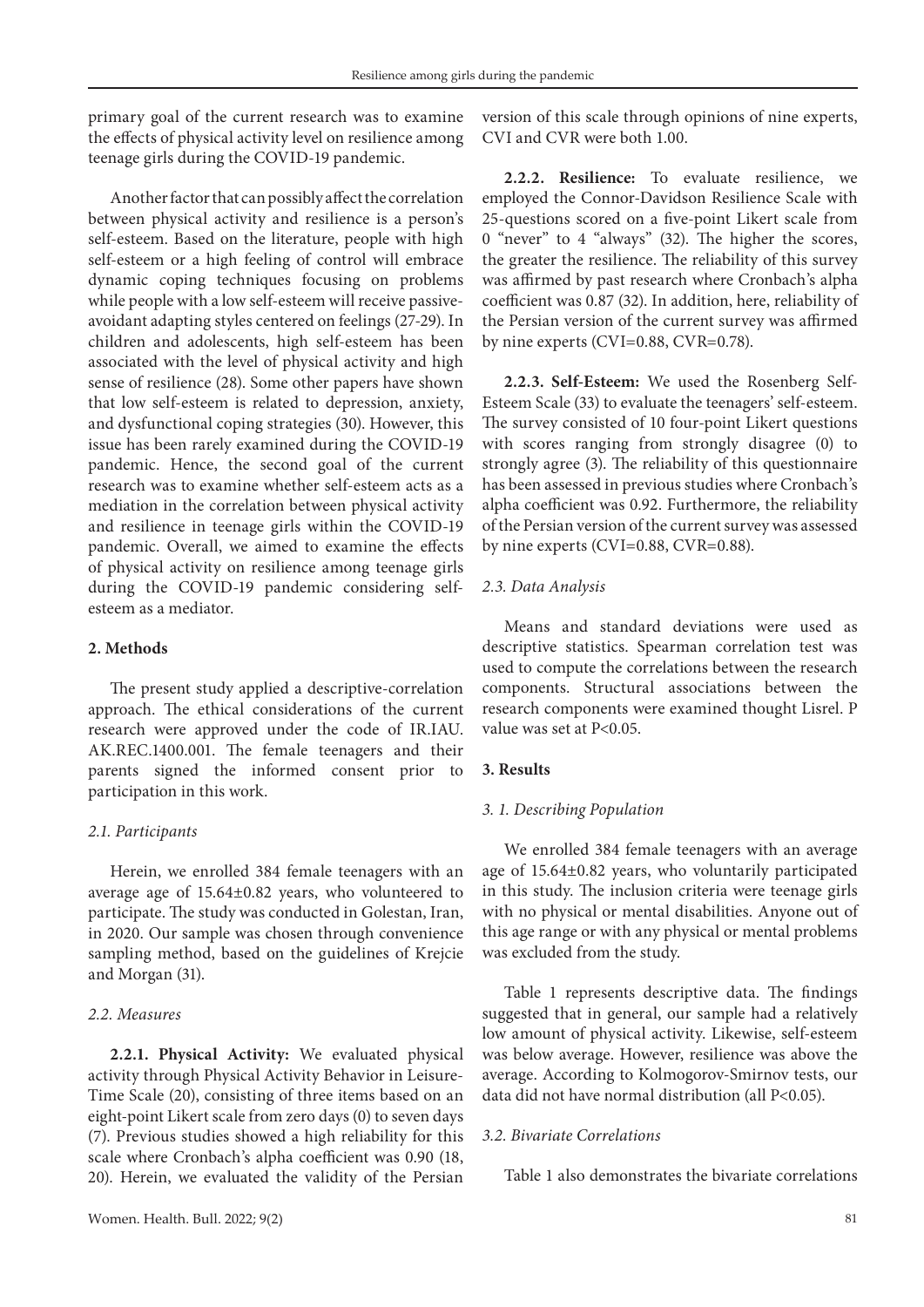primary goal of the current research was to examine the effects of physical activity level on resilience among teenage girls during the COVID-19 pandemic.

Another factor that can possibly affect the correlation between physical activity and resilience is a person's self-esteem. Based on the literature, people with high self-esteem or a high feeling of control will embrace dynamic coping techniques focusing on problems while people with a low self-esteem will receive passiveavoidant adapting styles centered on feelings (27-29). In children and adolescents, high self-esteem has been associated with the level of physical activity and high sense of resilience (28). Some other papers have shown that low self-esteem is related to depression, anxiety, and dysfunctional coping strategies (30). However, this issue has been rarely examined during the COVID-19 pandemic. Hence, the second goal of the current research was to examine whether self-esteem acts as a mediation in the correlation between physical activity and resilience in teenage girls within the COVID-19 pandemic. Overall, we aimed to examine the effects of physical activity on resilience among teenage girls during the COVID-19 pandemic considering selfesteem as a mediator.

## **2. Methods**

The present study applied a descriptive-correlation approach. The ethical considerations of the current research were approved under the code of IR.IAU. AK.REC.1400.001. The female teenagers and their parents signed the informed consent prior to participation in this work.

## *2.1. Participants*

Herein, we enrolled 384 female teenagers with an average age of 15.64±0.82 years, who volunteered to participate. The study was conducted in Golestan, Iran, in 2020. Our sample was chosen through convenience sampling method, based on the guidelines of Krejcie and Morgan (31).

#### *2.2. Measures*

**2.2.1. Physical Activity:** We evaluated physical activity through Physical Activity Behavior in Leisure-Time Scale (20), consisting of three items based on an eight-point Likert scale from zero days (0) to seven days (7). Previous studies showed a high reliability for this scale where Cronbach's alpha coefficient was 0.90 (18, 20). Herein, we evaluated the validity of the Persian

version of this scale through opinions of nine experts, CVI and CVR were both 1.00.

**2.2.2. Resilience:** To evaluate resilience, we employed the Connor-Davidson Resilience Scale with 25-questions scored on a five-point Likert scale from 0 "never" to 4 "always" (32). The higher the scores, the greater the resilience. The reliability of this survey was affirmed by past research where Cronbach's alpha coefficient was 0.87 (32). In addition, here, reliability of the Persian version of the current survey was affirmed by nine experts (CVI=0.88, CVR=0.78).

**2.2.3. Self-Esteem:** We used the Rosenberg Self-Esteem Scale (33) to evaluate the teenagers' self-esteem. The survey consisted of 10 four-point Likert questions with scores ranging from strongly disagree (0) to strongly agree (3). The reliability of this questionnaire has been assessed in previous studies where Cronbach's alpha coefficient was 0.92. Furthermore, the reliability of the Persian version of the current survey was assessed by nine experts (CVI=0.88, CVR=0.88).

## *2.3. Data Analysis*

Means and standard deviations were used as descriptive statistics. Spearman correlation test was used to compute the correlations between the research components. Structural associations between the research components were examined thought Lisrel. P value was set at P<0.05.

#### **3. Results**

#### *3. 1. Describing Population*

We enrolled 384 female teenagers with an average age of 15.64±0.82 years, who voluntarily participated in this study. The inclusion criteria were teenage girls with no physical or mental disabilities. Anyone out of this age range or with any physical or mental problems was excluded from the study.

Table 1 represents descriptive data. The findings suggested that in general, our sample had a relatively low amount of physical activity. Likewise, self-esteem was below average. However, resilience was above the average. According to Kolmogorov-Smirnov tests, our data did not have normal distribution (all P<0.05).

#### *3.2. Bivariate Correlations*

Table 1 also demonstrates the bivariate correlations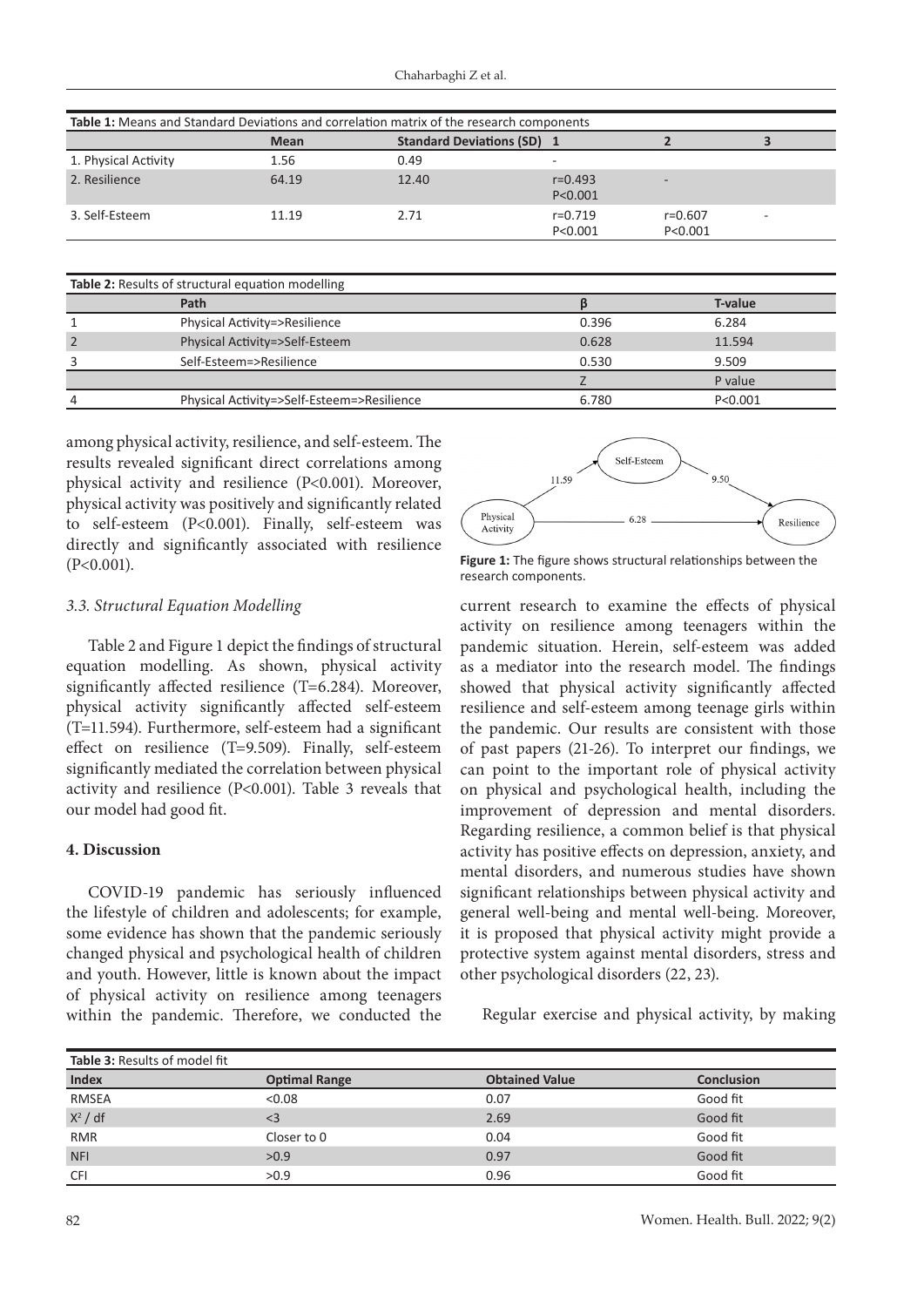| Table 1: Means and Standard Deviations and correlation matrix of the research components |             |                                   |                          |                          |  |  |  |
|------------------------------------------------------------------------------------------|-------------|-----------------------------------|--------------------------|--------------------------|--|--|--|
|                                                                                          | <b>Mean</b> | <b>Standard Deviations (SD) 1</b> |                          |                          |  |  |  |
| 1. Physical Activity                                                                     | 1.56        | 0.49                              | $\overline{\phantom{a}}$ |                          |  |  |  |
| 2. Resilience                                                                            | 64.19       | 12.40                             | $r = 0.493$<br>P < 0.001 | $\overline{\phantom{a}}$ |  |  |  |
| 3. Self-Esteem                                                                           | 11.19       | 2.71                              | $r=0.719$<br>P < 0.001   | $r = 0.607$<br>P < 0.001 |  |  |  |

| Table 2: Results of structural equation modelling |                                            |       |           |  |  |  |
|---------------------------------------------------|--------------------------------------------|-------|-----------|--|--|--|
|                                                   | Path                                       |       | T-value   |  |  |  |
|                                                   | Physical Activity=>Resilience              | 0.396 | 6.284     |  |  |  |
| $\overline{2}$                                    | Physical Activity=>Self-Esteem             | 0.628 | 11.594    |  |  |  |
| 3                                                 | Self-Esteem=>Resilience                    | 0.530 | 9.509     |  |  |  |
|                                                   |                                            |       | P value   |  |  |  |
| 4                                                 | Physical Activity=>Self-Esteem=>Resilience | 6.780 | P < 0.001 |  |  |  |

among physical activity, resilience, and self-esteem. The results revealed significant direct correlations among physical activity and resilience (P<0.001). Moreover, physical activity was positively and significantly related to self-esteem (P<0.001). Finally, self-esteem was directly and significantly associated with resilience (P<0.001).

#### *3.3. Structural Equation Modelling*

Table 2 and Figure 1 depict the findings of structural equation modelling. As shown, physical activity significantly affected resilience (T=6.284). Moreover, physical activity significantly affected self-esteem (T=11.594). Furthermore, self-esteem had a significant effect on resilience (T=9.509). Finally, self-esteem significantly mediated the correlation between physical activity and resilience (P<0.001). Table 3 reveals that our model had good fit.

### **4. Discussion**

COVID-19 pandemic has seriously influenced the lifestyle of children and adolescents; for example, some evidence has shown that the pandemic seriously changed physical and psychological health of children and youth. However, little is known about the impact of physical activity on resilience among teenagers within the pandemic. Therefore, we conducted the



**Figure 1:** The figure shows structural relationships between the research components.

current research to examine the effects of physical activity on resilience among teenagers within the pandemic situation. Herein, self-esteem was added as a mediator into the research model. The findings showed that physical activity significantly affected resilience and self-esteem among teenage girls within the pandemic. Our results are consistent with those of past papers (21-26). To interpret our findings, we can point to the important role of physical activity on physical and psychological health, including the improvement of depression and mental disorders. Regarding resilience, a common belief is that physical activity has positive effects on depression, anxiety, and mental disorders, and numerous studies have shown significant relationships between physical activity and general well-being and mental well-being. Moreover, it is proposed that physical activity might provide a protective system against mental disorders, stress and other psychological disorders (22, 23).

Regular exercise and physical activity, by making

| Table 3: Results of model fit |                      |                       |                   |  |  |  |
|-------------------------------|----------------------|-----------------------|-------------------|--|--|--|
| <b>Index</b>                  | <b>Optimal Range</b> | <b>Obtained Value</b> | <b>Conclusion</b> |  |  |  |
| <b>RMSEA</b>                  | < 0.08               | 0.07                  | Good fit          |  |  |  |
| $X^2$ / df                    | $<$ 3                | 2.69                  | Good fit          |  |  |  |
| <b>RMR</b>                    | Closer to 0          | 0.04                  | Good fit          |  |  |  |
| <b>NFI</b>                    | >0.9                 | 0.97                  | Good fit          |  |  |  |
| <b>CFI</b>                    | >0.9                 | 0.96                  | Good fit          |  |  |  |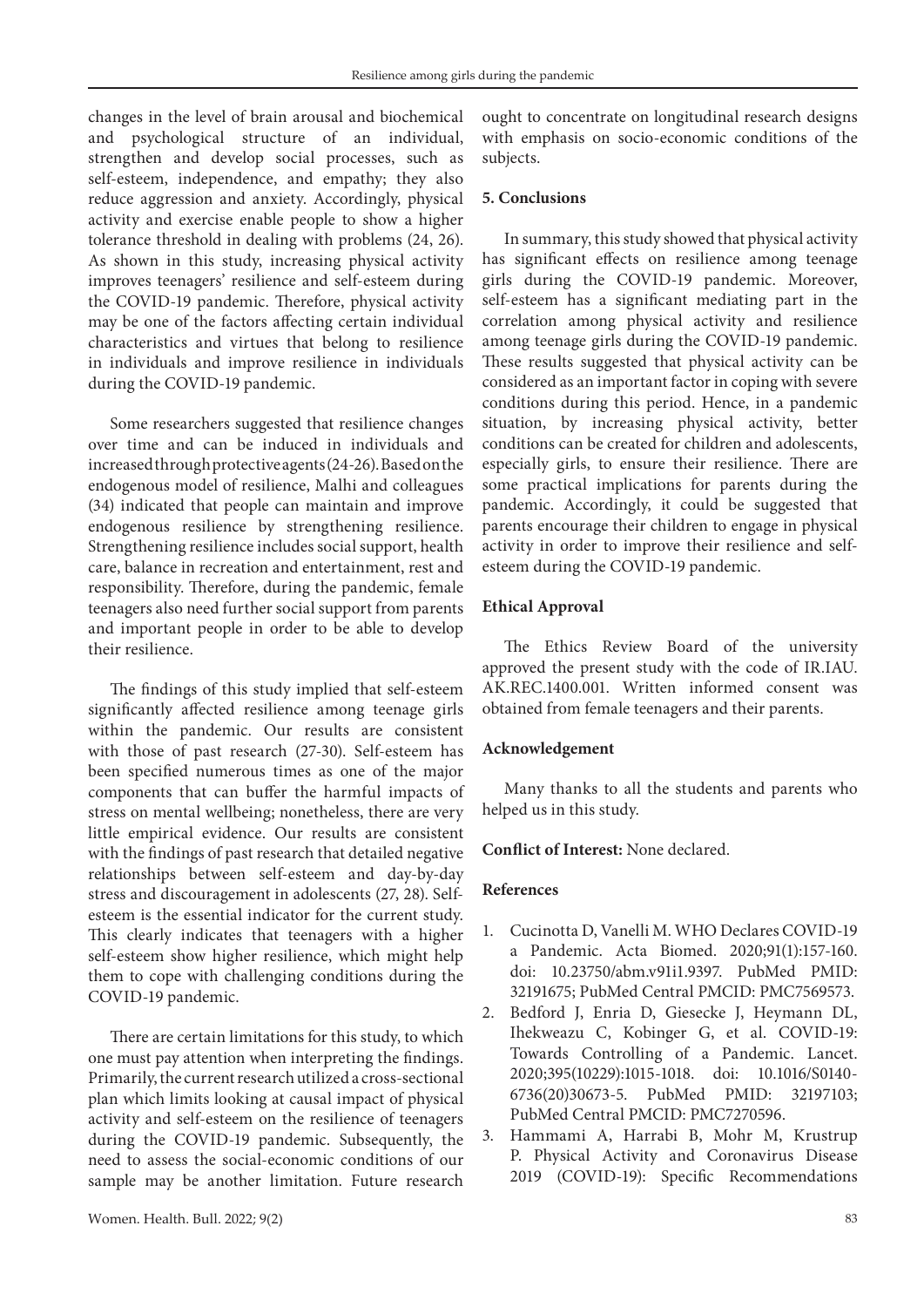changes in the level of brain arousal and biochemical and psychological structure of an individual, strengthen and develop social processes, such as self-esteem, independence, and empathy; they also reduce aggression and anxiety. Accordingly, physical activity and exercise enable people to show a higher tolerance threshold in dealing with problems (24, 26). As shown in this study, increasing physical activity improves teenagers' resilience and self-esteem during the COVID-19 pandemic. Therefore, physical activity may be one of the factors affecting certain individual characteristics and virtues that belong to resilience in individuals and improve resilience in individuals during the COVID-19 pandemic.

Some researchers suggested that resilience changes over time and can be induced in individuals and increased through protective agents (24-26). Based on the endogenous model of resilience, Malhi and colleagues (34) indicated that people can maintain and improve endogenous resilience by strengthening resilience. Strengthening resilience includes social support, health care, balance in recreation and entertainment, rest and responsibility. Therefore, during the pandemic, female teenagers also need further social support from parents and important people in order to be able to develop their resilience.

The findings of this study implied that self-esteem significantly affected resilience among teenage girls within the pandemic. Our results are consistent with those of past research (27-30). Self-esteem has been specified numerous times as one of the major components that can buffer the harmful impacts of stress on mental wellbeing; nonetheless, there are very little empirical evidence. Our results are consistent with the findings of past research that detailed negative relationships between self-esteem and day-by-day stress and discouragement in adolescents (27, 28). Selfesteem is the essential indicator for the current study. This clearly indicates that teenagers with a higher self-esteem show higher resilience, which might help them to cope with challenging conditions during the COVID-19 pandemic.

There are certain limitations for this study, to which one must pay attention when interpreting the findings. Primarily, the current research utilized a cross-sectional plan which limits looking at causal impact of physical activity and self-esteem on the resilience of teenagers during the COVID-19 pandemic. Subsequently, the need to assess the social-economic conditions of our sample may be another limitation. Future research ought to concentrate on longitudinal research designs with emphasis on socio-economic conditions of the subjects.

## **5. Conclusions**

In summary, this study showed that physical activity has significant effects on resilience among teenage girls during the COVID-19 pandemic. Moreover, self-esteem has a significant mediating part in the correlation among physical activity and resilience among teenage girls during the COVID-19 pandemic. These results suggested that physical activity can be considered as an important factor in coping with severe conditions during this period. Hence, in a pandemic situation, by increasing physical activity, better conditions can be created for children and adolescents, especially girls, to ensure their resilience. There are some practical implications for parents during the pandemic. Accordingly, it could be suggested that parents encourage their children to engage in physical activity in order to improve their resilience and selfesteem during the COVID-19 pandemic.

## **Ethical Approval**

The Ethics Review Board of the university approved the present study with the code of IR.IAU. AK.REC.1400.001. Written informed consent was obtained from female teenagers and their parents.

## **Acknowledgement**

Many thanks to all the students and parents who helped us in this study.

## **Conflict of Interest:** None declared.

### **References**

- 1. Cucinotta D, Vanelli M. WHO Declares COVID-19 a Pandemic. Acta Biomed. 2020;91(1):157-160. doi: 10.23750/abm.v91i1.9397. PubMed PMID: 32191675; PubMed Central PMCID: PMC7569573.
- 2. Bedford J, Enria D, Giesecke J, Heymann DL, Ihekweazu C, Kobinger G, et al. COVID-19: Towards Controlling of a Pandemic. Lancet. 2020;395(10229):1015-1018. doi: 10.1016/S0140- 6736(20)30673-5. PubMed PMID: 32197103; PubMed Central PMCID: PMC7270596.
- 3. Hammami A, Harrabi B, Mohr M, Krustrup P. Physical Activity and Coronavirus Disease 2019 (COVID-19): Specific Recommendations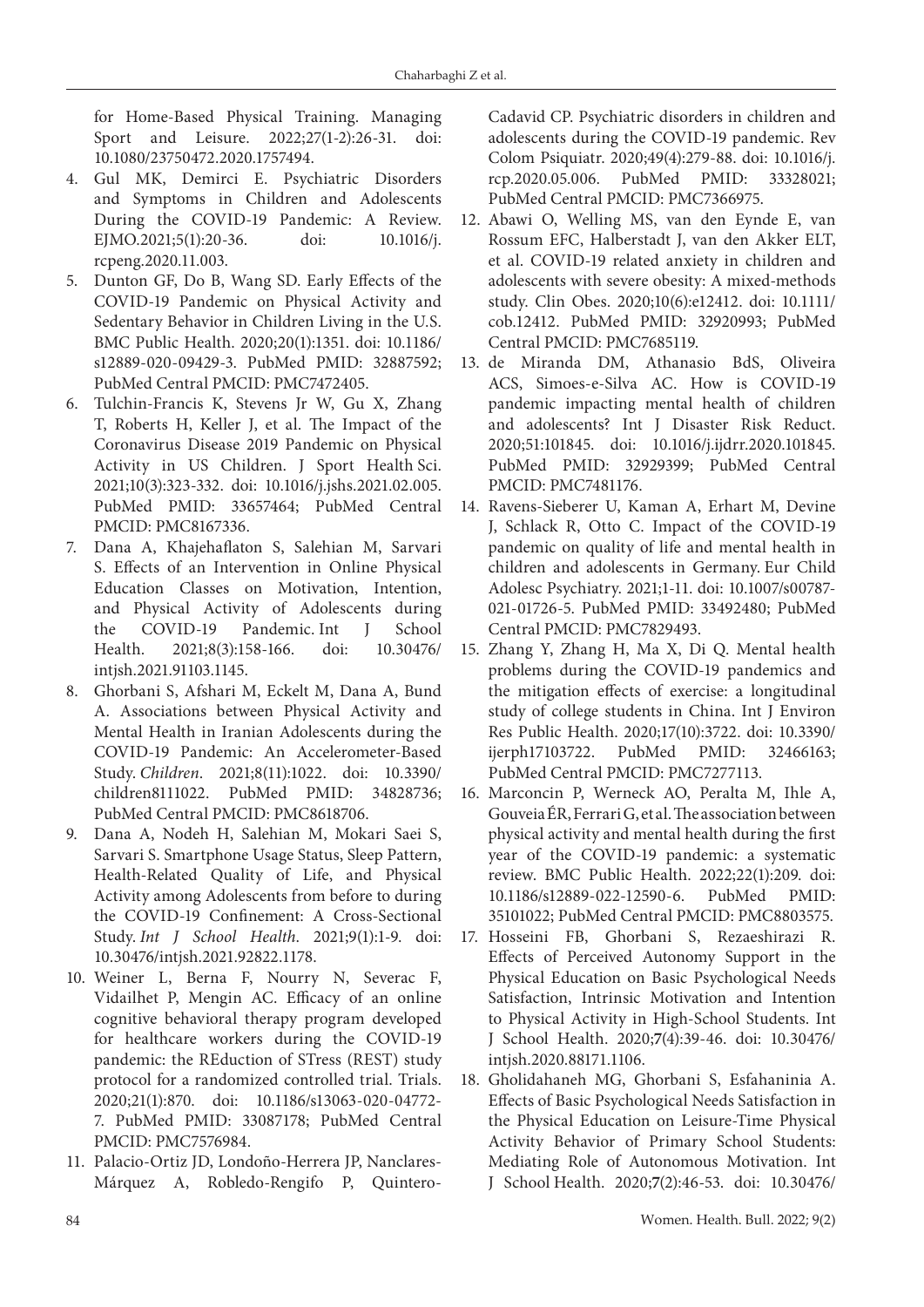for Home-Based Physical Training. Managing Sport and Leisure. 2022;27(1-2):26-31. doi: 10.1080/23750472.2020.1757494.

- 4. Gul MK, Demirci E. Psychiatric Disorders and Symptoms in Children and Adolescents During the COVID-19 Pandemic: A Review. EJMO.2021;5(1):20-36. doi: 10.1016/j. rcpeng.2020.11.003.
- 5. Dunton GF, Do B, Wang SD. Early Effects of the COVID-19 Pandemic on Physical Activity and Sedentary Behavior in Children Living in the U.S. BMC Public Health. 2020;20(1):1351. doi: 10.1186/ s12889-020-09429-3. PubMed PMID: 32887592; PubMed Central PMCID: PMC7472405.
- 6. Tulchin-Francis K, Stevens Jr W, Gu X, Zhang T, Roberts H, Keller J, et al. The Impact of the Coronavirus Disease 2019 Pandemic on Physical Activity in US Children. J Sport Health Sci. 2021;10(3):323-332. doi: 10.1016/j.jshs.2021.02.005. PubMed PMID: 33657464; PubMed Central PMCID: PMC8167336.
- 7. Dana A, Khajehaflaton S, Salehian M, Sarvari S. Effects of an Intervention in Online Physical Education Classes on Motivation, Intention, and Physical Activity of Adolescents during the COVID-19 Pandemic. Int J School Health. 2021;8(3):158-166. doi: 10.30476/ intjsh.2021.91103.1145.
- 8. Ghorbani S, Afshari M, Eckelt M, Dana A, Bund A. Associations between Physical Activity and Mental Health in Iranian Adolescents during the COVID-19 Pandemic: An Accelerometer-Based Study. *Children*. 2021;8(11):1022. doi: 10.3390/ children8111022. PubMed PMID: 34828736; PubMed Central PMCID: PMC8618706.
- 9. Dana A, Nodeh H, Salehian M, Mokari Saei S, Sarvari S. Smartphone Usage Status, Sleep Pattern, Health-Related Quality of Life, and Physical Activity among Adolescents from before to during the COVID-19 Confinement: A Cross-Sectional Study. *Int J School Health*. 2021;9(1):1-9. doi: 10.30476/intjsh.2021.92822.1178.
- 10. Weiner L, Berna F, Nourry N, Severac F, Vidailhet P, Mengin AC. Efficacy of an online cognitive behavioral therapy program developed for healthcare workers during the COVID-19 pandemic: the REduction of STress (REST) study protocol for a randomized controlled trial. Trials. 2020;21(1):870. doi: 10.1186/s13063-020-04772- 7. PubMed PMID: 33087178; PubMed Central PMCID: PMC7576984.
- 11. Palacio-Ortiz JD, Londoño-Herrera JP, Nanclares-Márquez A, Robledo-Rengifo P, Quintero-

Cadavid CP. Psychiatric disorders in children and adolescents during the COVID-19 pandemic. Rev Colom Psiquiatr. 2020;49(4):279-88. doi: 10.1016/j. rcp.2020.05.006. PubMed PMID: 33328021; PubMed Central PMCID: PMC7366975.

- 12. Abawi O, Welling MS, van den Eynde E, van Rossum EFC, Halberstadt J, van den Akker ELT, et al. COVID-19 related anxiety in children and adolescents with severe obesity: A mixed-methods study. Clin Obes. 2020;10(6):e12412. doi: 10.1111/ cob.12412. PubMed PMID: 32920993; PubMed Central PMCID: PMC7685119.
- 13. de Miranda DM, Athanasio BdS, Oliveira ACS, Simoes-e-Silva AC. How is COVID-19 pandemic impacting mental health of children and adolescents? Int J Disaster Risk Reduct. 2020;51:101845. doi: 10.1016/j.ijdrr.2020.101845. PubMed PMID: 32929399; PubMed Central PMCID: PMC7481176.
- 14. Ravens-Sieberer U, Kaman A, Erhart M, Devine J, Schlack R, Otto C. Impact of the COVID-19 pandemic on quality of life and mental health in children and adolescents in Germany. Eur Child Adolesc Psychiatry. 2021;1-11. doi: 10.1007/s00787- 021-01726-5. PubMed PMID: 33492480; PubMed Central PMCID: PMC7829493.
- 15. Zhang Y, Zhang H, Ma X, Di Q. Mental health problems during the COVID-19 pandemics and the mitigation effects of exercise: a longitudinal study of college students in China. Int J Environ Res Public Health. 2020;17(10):3722. doi: 10.3390/ ijerph17103722. PubMed PMID: 32466163; PubMed Central PMCID: PMC7277113.
- 16. Marconcin P, Werneck AO, Peralta M, Ihle A, Gouveia ÉR, Ferrari G, et al. The association between physical activity and mental health during the first year of the COVID-19 pandemic: a systematic review. BMC Public Health. 2022;22(1):209. doi: 10.1186/s12889-022-12590-6. PubMed PMID: 35101022; PubMed Central PMCID: PMC8803575.
- 17. Hosseini FB, Ghorbani S, Rezaeshirazi R. Effects of Perceived Autonomy Support in the Physical Education on Basic Psychological Needs Satisfaction, Intrinsic Motivation and Intention to Physical Activity in High-School Students. Int J School Health. 2020;**7**(4):39-46. doi: 10.30476/ intjsh.2020.88171.1106.
- 18. Gholidahaneh MG, Ghorbani S, Esfahaninia A. Effects of Basic Psychological Needs Satisfaction in the Physical Education on Leisure-Time Physical Activity Behavior of Primary School Students: Mediating Role of Autonomous Motivation. Int J School Health. 2020;**7**(2):46-53. doi: 10.30476/